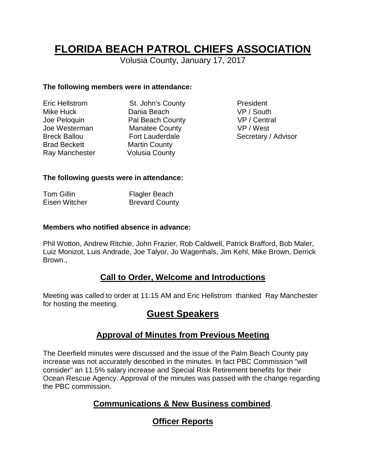# **FLORIDA BEACH PATROL CHIEFS ASSOCIATION**

Volusia County, January 17, 2017

#### **The following members were in attendance:**

| <b>Eric Hellstrom</b> |
|-----------------------|
| Mike Huck             |
| Joe Peloquin          |
| Joe Westerman         |
| <b>Breck Ballou</b>   |
| <b>Brad Beckett</b>   |
| Ray Manchester        |

St. John's County **President** Dania Beach VP / South Pal Beach County VP / Central Manatee County VP / West Martin County Volusia County

Fort Lauderdale Secretary / Advisor

#### **The following guests were in attendance:**

| <b>Tom Gillin</b> | <b>Flagler Beach</b>  |
|-------------------|-----------------------|
| Eisen Witcher     | <b>Brevard County</b> |

#### **Members who notified absence in advance:**

Phil Wotton, Andrew Ritchie, John Frazier, Rob Caldwell, Patrick Brafford, Bob Maler, Luiz Monizot, Luis Andrade, Joe Talyor, Jo Wagenhals, Jim Kehl, Mike Brown, Derrick Brown.,

# **Call to Order, Welcome and Introductions**

Meeting was called to order at 11:15 AM and Eric Hellstrom thanked Ray Manchester for hosting the meeting.

# **Guest Speakers**

# **Approval of Minutes from Previous Meeting**

The Deerfield minutes were discussed and the issue of the Palm Beach County pay increase was not accurately described in the minutes. In fact PBC Commission "will consider" an 11.5% salary increase and Special Risk Retirement benefits for their Ocean Rescue Agency. Approval of the minutes was passed with the change regarding the PBC commission.

# **Communications & New Business combined**.

# **Officer Reports**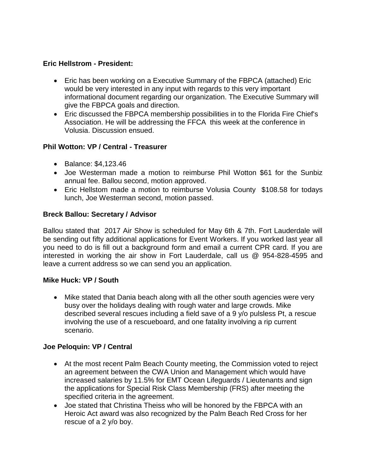#### **Eric Hellstrom - President:**

- Eric has been working on a Executive Summary of the FBPCA (attached) Eric would be very interested in any input with regards to this very important informational document regarding our organization. The Executive Summary will give the FBPCA goals and direction.
- Eric discussed the FBPCA membership possibilities in to the Florida Fire Chief's Association. He will be addressing the FFCA this week at the conference in Volusia. Discussion ensued.

#### **Phil Wotton: VP / Central - Treasurer**

- Balance: \$4,123.46
- Joe Westerman made a motion to reimburse Phil Wotton \$61 for the Sunbiz annual fee. Ballou second, motion approved.
- Eric Hellstom made a motion to reimburse Volusia County \$108.58 for todays lunch, Joe Westerman second, motion passed.

#### **Breck Ballou: Secretary / Advisor**

Ballou stated that 2017 Air Show is scheduled for May 6th & 7th. Fort Lauderdale will be sending out fifty additional applications for Event Workers. If you worked last year all you need to do is fill out a background form and email a current CPR card. If you are interested in working the air show in Fort Lauderdale, call us @ 954-828-4595 and leave a current address so we can send you an application.

#### **Mike Huck: VP / South**

 Mike stated that Dania beach along with all the other south agencies were very busy over the holidays dealing with rough water and large crowds. Mike described several rescues including a field save of a 9 y/o pulsless Pt, a rescue involving the use of a rescueboard, and one fatality involving a rip current scenario.

#### **Joe Peloquin: VP / Central**

- At the most recent Palm Beach County meeting, the Commission voted to reject an agreement between the CWA Union and Management which would have increased salaries by 11.5% for EMT Ocean Lifeguards / Lieutenants and sign the applications for Special Risk Class Membership (FRS) after meeting the specified criteria in the agreement.
- Joe stated that Christina Theiss who will be honored by the FBPCA with an Heroic Act award was also recognized by the Palm Beach Red Cross for her rescue of a 2 y/o boy.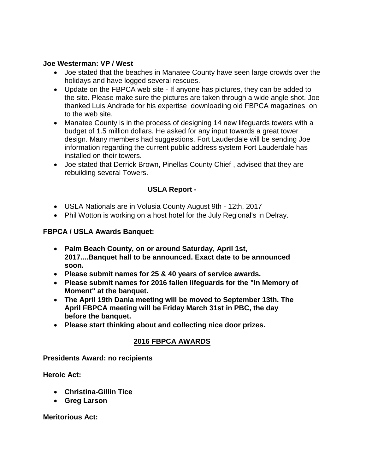#### **Joe Westerman: VP / West**

- Joe stated that the beaches in Manatee County have seen large crowds over the holidays and have logged several rescues.
- Update on the FBPCA web site If anyone has pictures, they can be added to the site. Please make sure the pictures are taken through a wide angle shot. Joe thanked Luis Andrade for his expertise downloading old FBPCA magazines on to the web site.
- Manatee County is in the process of designing 14 new lifeguards towers with a budget of 1.5 million dollars. He asked for any input towards a great tower design. Many members had suggestions. Fort Lauderdale will be sending Joe information regarding the current public address system Fort Lauderdale has installed on their towers.
- Joe stated that Derrick Brown, Pinellas County Chief , advised that they are rebuilding several Towers.

#### **USLA Report -**

- USLA Nationals are in Volusia County August 9th 12th, 2017
- Phil Wotton is working on a host hotel for the July Regional's in Delray.

#### **FBPCA / USLA Awards Banquet:**

- **Palm Beach County, on or around Saturday, April 1st, 2017....Banquet hall to be announced. Exact date to be announced soon.**
- **Please submit names for 25 & 40 years of service awards.**
- **Please submit names for 2016 fallen lifeguards for the "In Memory of Moment" at the banquet.**
- **The April 19th Dania meeting will be moved to September 13th. The April FBPCA meeting will be Friday March 31st in PBC, the day before the banquet.**
- **Please start thinking about and collecting nice door prizes.**

#### **2016 FBPCA AWARDS**

**Presidents Award: no recipients** 

**Heroic Act:** 

- **Christina-Gillin Tice**
- **Greg Larson**

**Meritorious Act:**